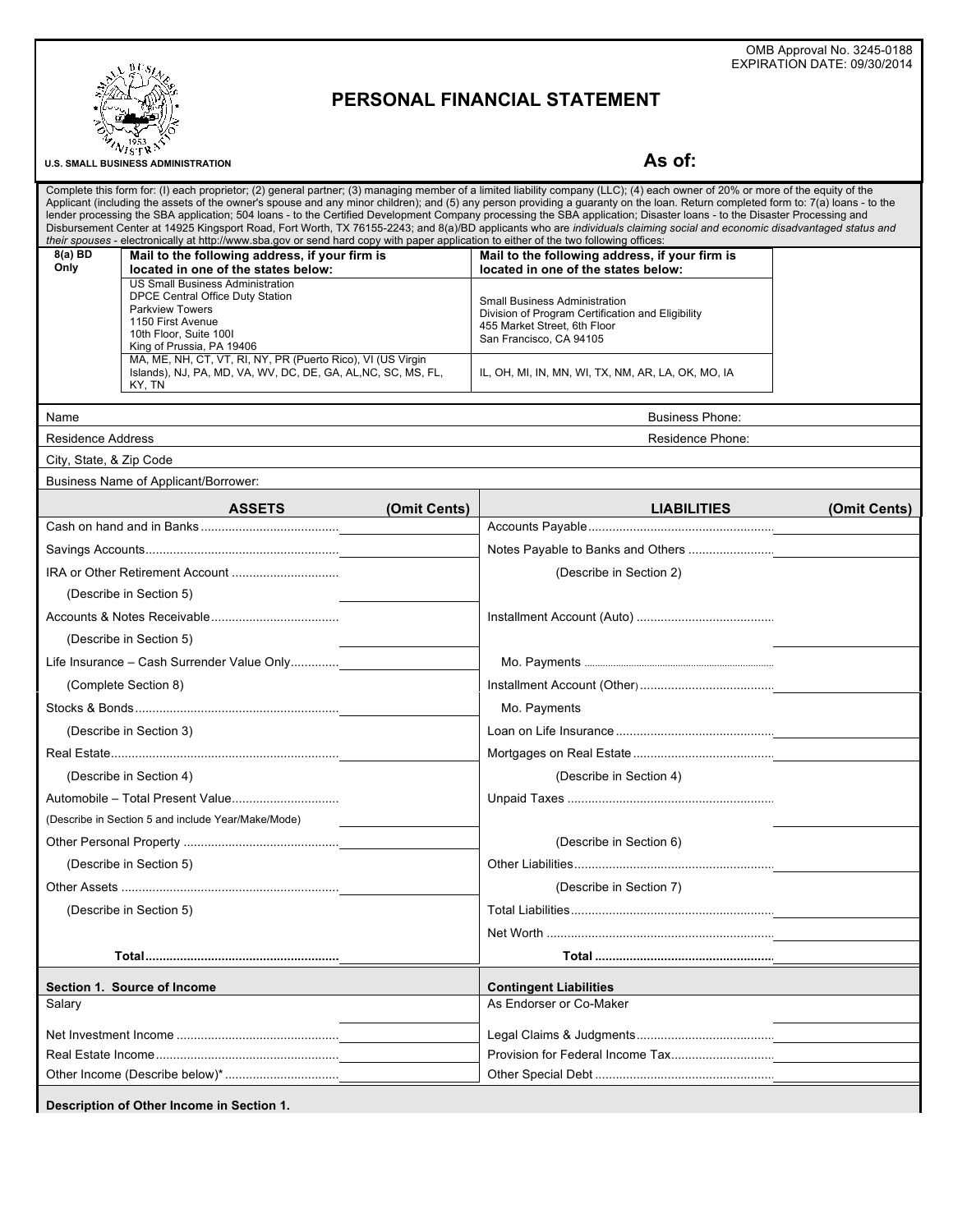

# **PERSONAL FINANCIAL STATEMENT**

| Complete this form for: (I) each proprietor; (2) general partner; (3) managing member of a limited liability company (LLC); (4) each owner of 20% or more of the equity of the<br>Applicant (including the assets of the owner's spouse and any minor children); and (5) any person providing a guaranty on the loan. Return completed form to: 7(a) loans - to the<br>lender processing the SBA application; 504 Ioans - to the Certified Development Company processing the SBA application; Disaster Ioans - to the Disaster Processing and<br>Disbursement Center at 14925 Kingsport Road, Fort Worth, TX 76155-2243; and 8(a)/BD applicants who are individuals claiming social and economic disadvantaged status and<br>their spouses - electronically at http://www.sba.gov or send hard copy with paper application to either of the two following offices: |                                                                                                                                        |              |                                                                                   |              |  |  |  |
|---------------------------------------------------------------------------------------------------------------------------------------------------------------------------------------------------------------------------------------------------------------------------------------------------------------------------------------------------------------------------------------------------------------------------------------------------------------------------------------------------------------------------------------------------------------------------------------------------------------------------------------------------------------------------------------------------------------------------------------------------------------------------------------------------------------------------------------------------------------------|----------------------------------------------------------------------------------------------------------------------------------------|--------------|-----------------------------------------------------------------------------------|--------------|--|--|--|
| 8(a) BD                                                                                                                                                                                                                                                                                                                                                                                                                                                                                                                                                                                                                                                                                                                                                                                                                                                             | Mail to the following address, if your firm is                                                                                         |              | Mail to the following address, if your firm is                                    |              |  |  |  |
| Only                                                                                                                                                                                                                                                                                                                                                                                                                                                                                                                                                                                                                                                                                                                                                                                                                                                                | located in one of the states below:<br><b>US Small Business Administration</b>                                                         |              | located in one of the states below:                                               |              |  |  |  |
|                                                                                                                                                                                                                                                                                                                                                                                                                                                                                                                                                                                                                                                                                                                                                                                                                                                                     | DPCE Central Office Duty Station<br><b>Parkview Towers</b>                                                                             |              | <b>Small Business Administration</b>                                              |              |  |  |  |
|                                                                                                                                                                                                                                                                                                                                                                                                                                                                                                                                                                                                                                                                                                                                                                                                                                                                     | 1150 First Avenue<br>10th Floor, Suite 1001                                                                                            |              | Division of Program Certification and Eligibility<br>455 Market Street, 6th Floor |              |  |  |  |
|                                                                                                                                                                                                                                                                                                                                                                                                                                                                                                                                                                                                                                                                                                                                                                                                                                                                     | King of Prussia, PA 19406                                                                                                              |              | San Francisco. CA 94105                                                           |              |  |  |  |
|                                                                                                                                                                                                                                                                                                                                                                                                                                                                                                                                                                                                                                                                                                                                                                                                                                                                     | MA, ME, NH, CT, VT, RI, NY, PR (Puerto Rico), VI (US Virgin<br>Islands), NJ, PA, MD, VA, WV, DC, DE, GA, AL, NC, SC, MS, FL,<br>KY, TN |              | IL, OH, MI, IN, MN, WI, TX, NM, AR, LA, OK, MO, IA                                |              |  |  |  |
| Name                                                                                                                                                                                                                                                                                                                                                                                                                                                                                                                                                                                                                                                                                                                                                                                                                                                                |                                                                                                                                        |              | <b>Business Phone:</b>                                                            |              |  |  |  |
| <b>Residence Address</b>                                                                                                                                                                                                                                                                                                                                                                                                                                                                                                                                                                                                                                                                                                                                                                                                                                            |                                                                                                                                        |              | Residence Phone:                                                                  |              |  |  |  |
| City, State, & Zip Code                                                                                                                                                                                                                                                                                                                                                                                                                                                                                                                                                                                                                                                                                                                                                                                                                                             |                                                                                                                                        |              |                                                                                   |              |  |  |  |
|                                                                                                                                                                                                                                                                                                                                                                                                                                                                                                                                                                                                                                                                                                                                                                                                                                                                     | Business Name of Applicant/Borrower:                                                                                                   |              |                                                                                   |              |  |  |  |
|                                                                                                                                                                                                                                                                                                                                                                                                                                                                                                                                                                                                                                                                                                                                                                                                                                                                     | <b>ASSETS</b>                                                                                                                          | (Omit Cents) | <b>LIABILITIES</b>                                                                | (Omit Cents) |  |  |  |
|                                                                                                                                                                                                                                                                                                                                                                                                                                                                                                                                                                                                                                                                                                                                                                                                                                                                     |                                                                                                                                        |              |                                                                                   |              |  |  |  |
|                                                                                                                                                                                                                                                                                                                                                                                                                                                                                                                                                                                                                                                                                                                                                                                                                                                                     |                                                                                                                                        |              |                                                                                   |              |  |  |  |
|                                                                                                                                                                                                                                                                                                                                                                                                                                                                                                                                                                                                                                                                                                                                                                                                                                                                     |                                                                                                                                        |              | (Describe in Section 2)                                                           |              |  |  |  |
|                                                                                                                                                                                                                                                                                                                                                                                                                                                                                                                                                                                                                                                                                                                                                                                                                                                                     | (Describe in Section 5)                                                                                                                |              |                                                                                   |              |  |  |  |
|                                                                                                                                                                                                                                                                                                                                                                                                                                                                                                                                                                                                                                                                                                                                                                                                                                                                     |                                                                                                                                        |              |                                                                                   |              |  |  |  |
|                                                                                                                                                                                                                                                                                                                                                                                                                                                                                                                                                                                                                                                                                                                                                                                                                                                                     | (Describe in Section 5)                                                                                                                |              |                                                                                   |              |  |  |  |
|                                                                                                                                                                                                                                                                                                                                                                                                                                                                                                                                                                                                                                                                                                                                                                                                                                                                     |                                                                                                                                        |              |                                                                                   |              |  |  |  |
|                                                                                                                                                                                                                                                                                                                                                                                                                                                                                                                                                                                                                                                                                                                                                                                                                                                                     | (Complete Section 8)                                                                                                                   |              |                                                                                   |              |  |  |  |
|                                                                                                                                                                                                                                                                                                                                                                                                                                                                                                                                                                                                                                                                                                                                                                                                                                                                     |                                                                                                                                        |              | Mo. Payments                                                                      |              |  |  |  |
|                                                                                                                                                                                                                                                                                                                                                                                                                                                                                                                                                                                                                                                                                                                                                                                                                                                                     | (Describe in Section 3)                                                                                                                |              |                                                                                   |              |  |  |  |
|                                                                                                                                                                                                                                                                                                                                                                                                                                                                                                                                                                                                                                                                                                                                                                                                                                                                     |                                                                                                                                        |              |                                                                                   |              |  |  |  |
|                                                                                                                                                                                                                                                                                                                                                                                                                                                                                                                                                                                                                                                                                                                                                                                                                                                                     | (Describe in Section 4)                                                                                                                |              | (Describe in Section 4)                                                           |              |  |  |  |
|                                                                                                                                                                                                                                                                                                                                                                                                                                                                                                                                                                                                                                                                                                                                                                                                                                                                     |                                                                                                                                        |              |                                                                                   |              |  |  |  |
|                                                                                                                                                                                                                                                                                                                                                                                                                                                                                                                                                                                                                                                                                                                                                                                                                                                                     | (Describe in Section 5 and include Year/Make/Mode)                                                                                     |              |                                                                                   |              |  |  |  |
|                                                                                                                                                                                                                                                                                                                                                                                                                                                                                                                                                                                                                                                                                                                                                                                                                                                                     |                                                                                                                                        |              | (Describe in Section 6)                                                           |              |  |  |  |
|                                                                                                                                                                                                                                                                                                                                                                                                                                                                                                                                                                                                                                                                                                                                                                                                                                                                     | (Describe in Section 5)                                                                                                                |              |                                                                                   |              |  |  |  |
|                                                                                                                                                                                                                                                                                                                                                                                                                                                                                                                                                                                                                                                                                                                                                                                                                                                                     |                                                                                                                                        |              | (Describe in Section 7)                                                           |              |  |  |  |
|                                                                                                                                                                                                                                                                                                                                                                                                                                                                                                                                                                                                                                                                                                                                                                                                                                                                     | (Describe in Section 5)                                                                                                                |              |                                                                                   |              |  |  |  |
|                                                                                                                                                                                                                                                                                                                                                                                                                                                                                                                                                                                                                                                                                                                                                                                                                                                                     |                                                                                                                                        |              |                                                                                   |              |  |  |  |
|                                                                                                                                                                                                                                                                                                                                                                                                                                                                                                                                                                                                                                                                                                                                                                                                                                                                     |                                                                                                                                        |              |                                                                                   |              |  |  |  |
|                                                                                                                                                                                                                                                                                                                                                                                                                                                                                                                                                                                                                                                                                                                                                                                                                                                                     | Section 1. Source of Income                                                                                                            |              | <b>Contingent Liabilities</b>                                                     |              |  |  |  |
| Salary                                                                                                                                                                                                                                                                                                                                                                                                                                                                                                                                                                                                                                                                                                                                                                                                                                                              |                                                                                                                                        |              | As Endorser or Co-Maker                                                           |              |  |  |  |
|                                                                                                                                                                                                                                                                                                                                                                                                                                                                                                                                                                                                                                                                                                                                                                                                                                                                     |                                                                                                                                        |              |                                                                                   |              |  |  |  |
|                                                                                                                                                                                                                                                                                                                                                                                                                                                                                                                                                                                                                                                                                                                                                                                                                                                                     |                                                                                                                                        |              |                                                                                   |              |  |  |  |
|                                                                                                                                                                                                                                                                                                                                                                                                                                                                                                                                                                                                                                                                                                                                                                                                                                                                     |                                                                                                                                        |              |                                                                                   |              |  |  |  |
|                                                                                                                                                                                                                                                                                                                                                                                                                                                                                                                                                                                                                                                                                                                                                                                                                                                                     |                                                                                                                                        |              |                                                                                   |              |  |  |  |

**Description of Other Income in Section 1.**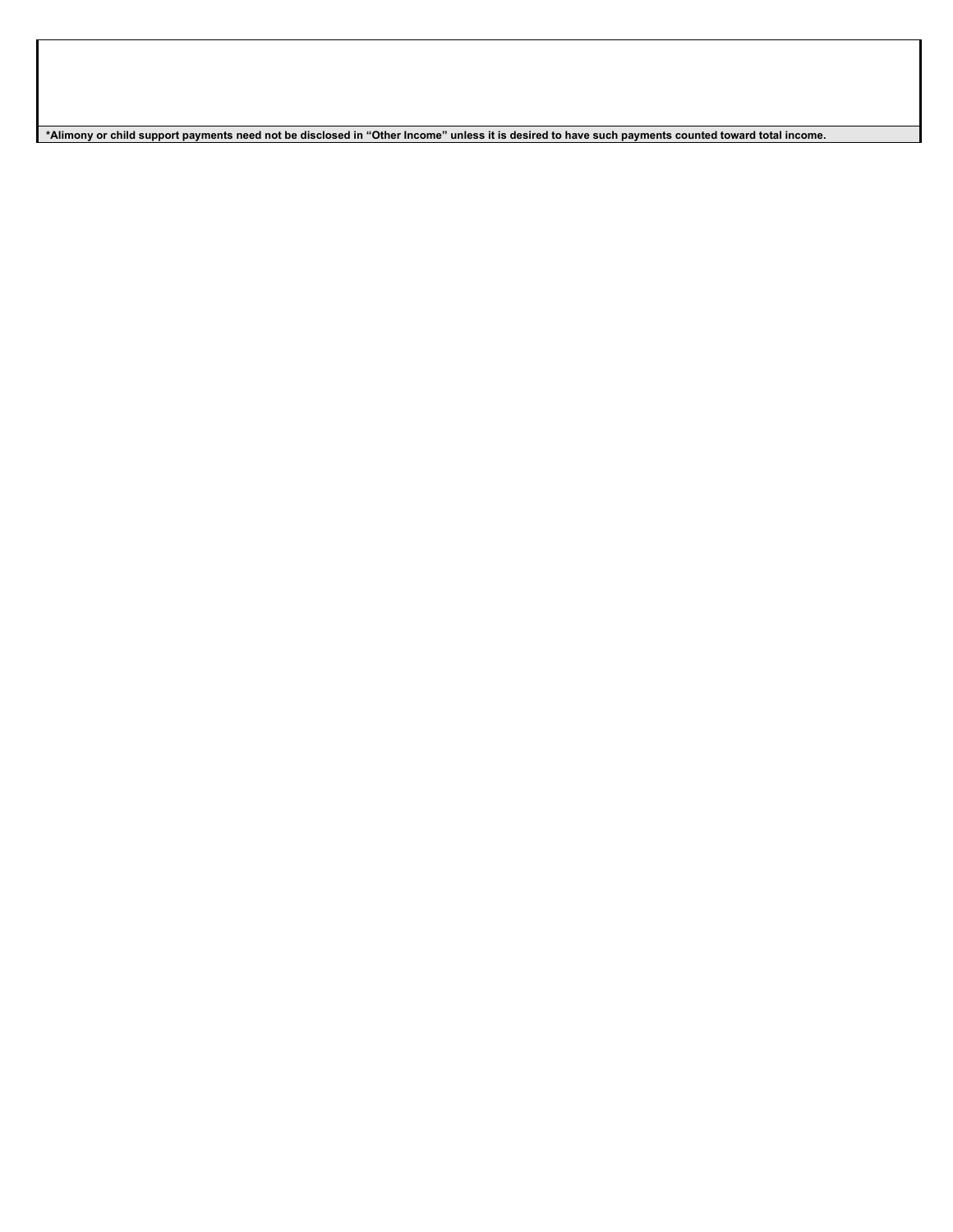**\*Alimony or child support payments need not be disclosed in "Other Income" unless it is desired to have such payments counted toward total income.**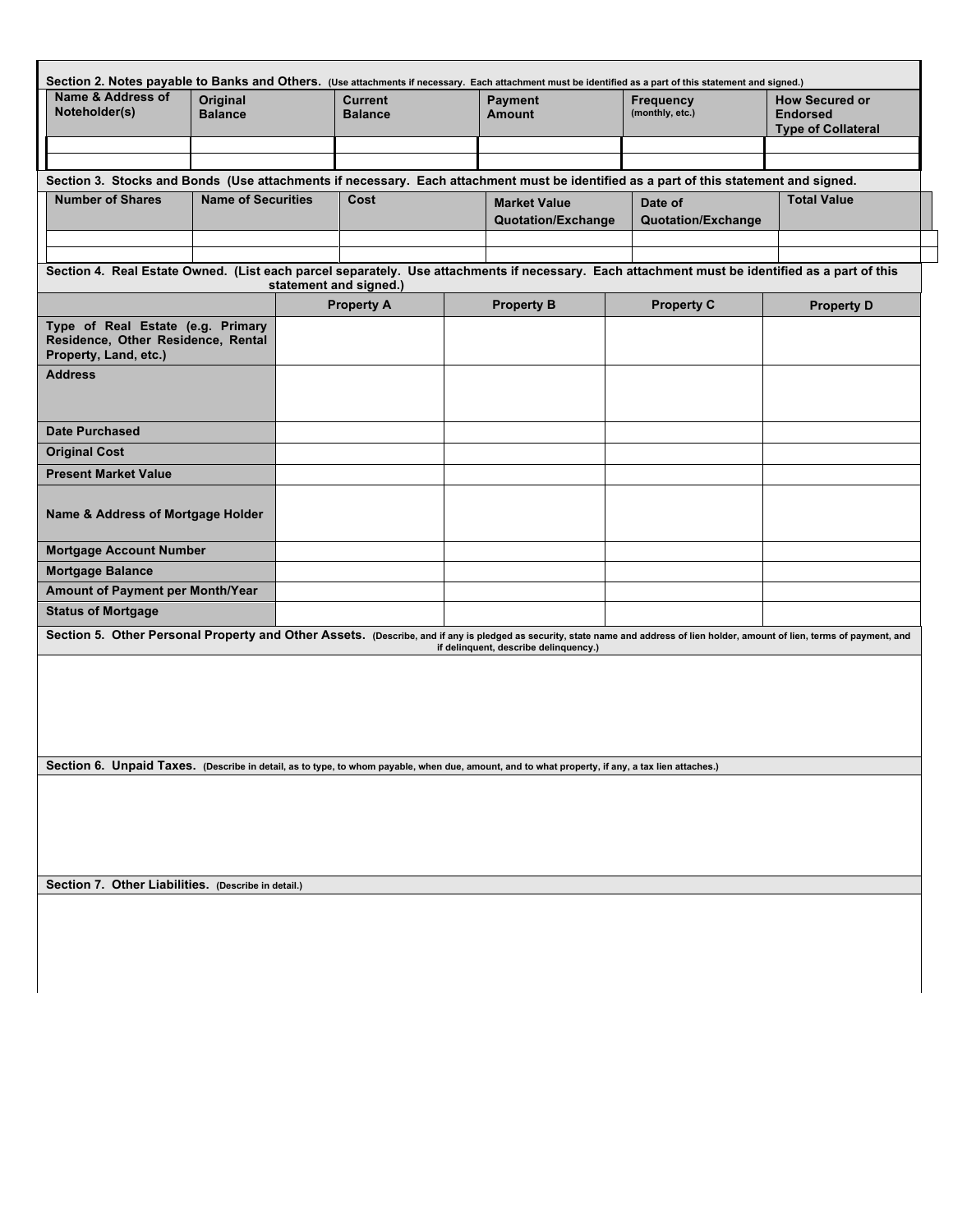| Section 2. Notes payable to Banks and Others. (Use attachments if necessary. Each attachment must be identified as a part of this statement and signed.)                                                                 |                            |                   |                                  |                   |                                 |                              |                                                                       |  |  |
|--------------------------------------------------------------------------------------------------------------------------------------------------------------------------------------------------------------------------|----------------------------|-------------------|----------------------------------|-------------------|---------------------------------|------------------------------|-----------------------------------------------------------------------|--|--|
| Name & Address of<br>Noteholder(s)                                                                                                                                                                                       | Original<br><b>Balance</b> |                   | <b>Current</b><br><b>Balance</b> |                   | <b>Payment</b><br><b>Amount</b> | Frequency<br>(monthly, etc.) | <b>How Secured or</b><br><b>Endorsed</b><br><b>Type of Collateral</b> |  |  |
|                                                                                                                                                                                                                          |                            |                   |                                  |                   |                                 |                              |                                                                       |  |  |
|                                                                                                                                                                                                                          |                            |                   |                                  |                   |                                 |                              |                                                                       |  |  |
| Section 3. Stocks and Bonds (Use attachments if necessary. Each attachment must be identified as a part of this statement and signed.<br><b>Number of Shares</b>                                                         | <b>Name of Securities</b>  |                   | Cost                             |                   |                                 |                              | <b>Total Value</b>                                                    |  |  |
|                                                                                                                                                                                                                          |                            |                   |                                  |                   | <b>Market Value</b>             | Date of                      |                                                                       |  |  |
|                                                                                                                                                                                                                          |                            |                   |                                  |                   | Quotation/Exchange              | Quotation/Exchange           |                                                                       |  |  |
|                                                                                                                                                                                                                          |                            |                   |                                  |                   |                                 |                              |                                                                       |  |  |
| Section 4. Real Estate Owned. (List each parcel separately. Use attachments if necessary. Each attachment must be identified as a part of this                                                                           |                            |                   | statement and signed.)           |                   |                                 |                              |                                                                       |  |  |
|                                                                                                                                                                                                                          |                            | <b>Property A</b> |                                  | <b>Property B</b> | <b>Property C</b>               | <b>Property D</b>            |                                                                       |  |  |
| Type of Real Estate (e.g. Primary<br>Residence, Other Residence, Rental<br>Property, Land, etc.)<br><b>Address</b>                                                                                                       |                            |                   |                                  |                   |                                 |                              |                                                                       |  |  |
|                                                                                                                                                                                                                          |                            |                   |                                  |                   |                                 |                              |                                                                       |  |  |
| <b>Date Purchased</b>                                                                                                                                                                                                    |                            |                   |                                  |                   |                                 |                              |                                                                       |  |  |
| <b>Original Cost</b>                                                                                                                                                                                                     |                            |                   |                                  |                   |                                 |                              |                                                                       |  |  |
| <b>Present Market Value</b>                                                                                                                                                                                              |                            |                   |                                  |                   |                                 |                              |                                                                       |  |  |
| Name & Address of Mortgage Holder                                                                                                                                                                                        |                            |                   |                                  |                   |                                 |                              |                                                                       |  |  |
| <b>Mortgage Account Number</b>                                                                                                                                                                                           |                            |                   |                                  |                   |                                 |                              |                                                                       |  |  |
| <b>Mortgage Balance</b>                                                                                                                                                                                                  |                            |                   |                                  |                   |                                 |                              |                                                                       |  |  |
| Amount of Payment per Month/Year                                                                                                                                                                                         |                            |                   |                                  |                   |                                 |                              |                                                                       |  |  |
| <b>Status of Mortgage</b>                                                                                                                                                                                                |                            |                   |                                  |                   |                                 |                              |                                                                       |  |  |
| Section 5. Other Personal Property and Other Assets. (Describe, and if any is pledged as security, state name and address of lien holder, amount of lien, terms of payment, and<br>if delinquent, describe delinquency.) |                            |                   |                                  |                   |                                 |                              |                                                                       |  |  |
|                                                                                                                                                                                                                          |                            |                   |                                  |                   |                                 |                              |                                                                       |  |  |
| Section 6. Unpaid Taxes. (Describe in detail, as to type, to whom payable, when due, amount, and to what property, if any, a tax lien attaches.)                                                                         |                            |                   |                                  |                   |                                 |                              |                                                                       |  |  |
|                                                                                                                                                                                                                          |                            |                   |                                  |                   |                                 |                              |                                                                       |  |  |
| Section 7. Other Liabilities. (Describe in detail.)                                                                                                                                                                      |                            |                   |                                  |                   |                                 |                              |                                                                       |  |  |
|                                                                                                                                                                                                                          |                            |                   |                                  |                   |                                 |                              |                                                                       |  |  |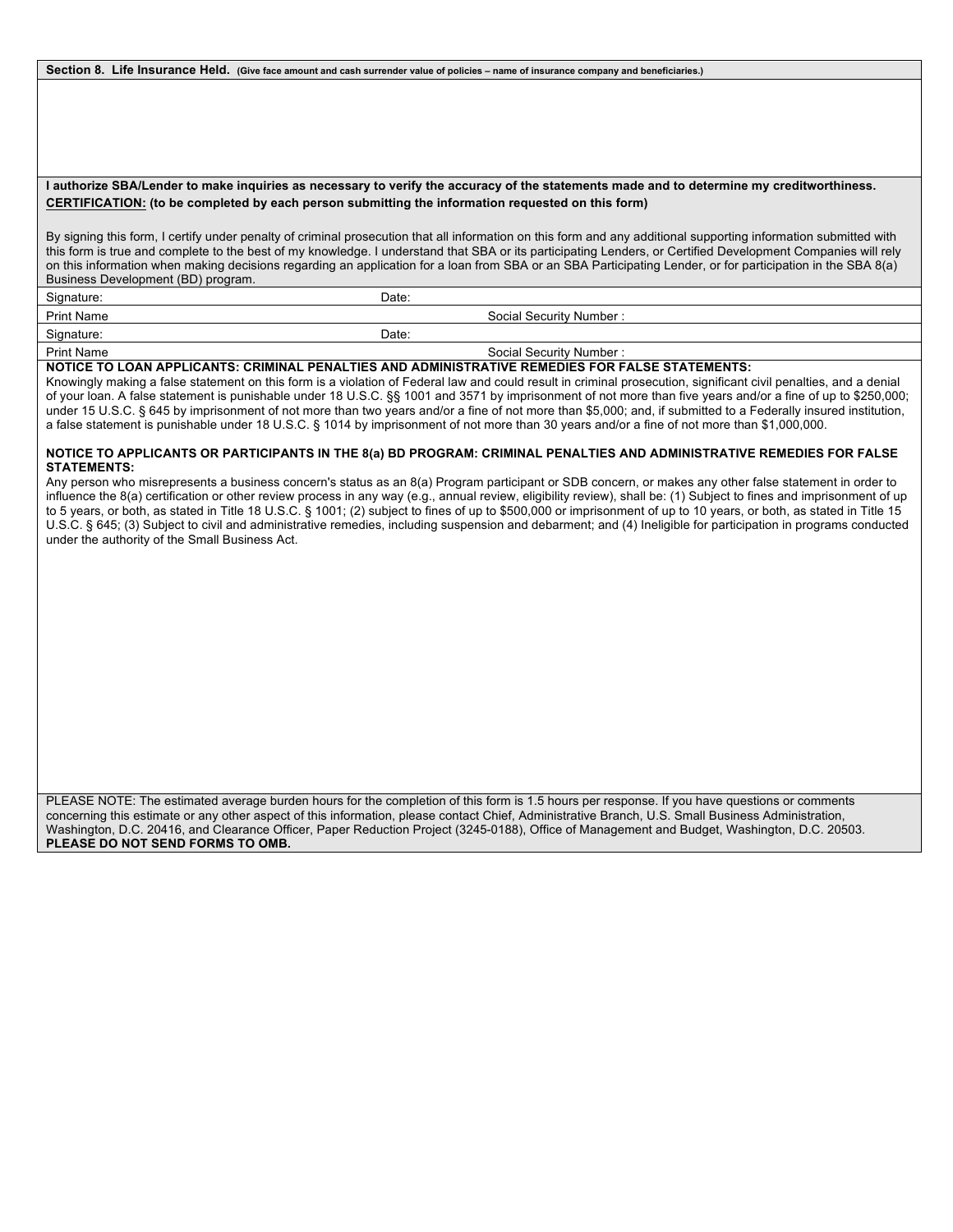**Section 8. Life Insurance Held. (Give face amount and cash surrender value of policies – name of insurance company and beneficiaries.)**

#### **I authorize SBA/Lender to make inquiries as necessary to verify the accuracy of the statements made and to determine my creditworthiness. CERTIFICATION: (to be completed by each person submitting the information requested on this form)**

By signing this form, I certify under penalty of criminal prosecution that all information on this form and any additional supporting information submitted with this form is true and complete to the best of my knowledge. I understand that SBA or its participating Lenders, or Certified Development Companies will rely on this information when making decisions regarding an application for a loan from SBA or an SBA Participating Lender, or for participation in the SBA 8(a) Business Development (BD) program.

| Signature:        | Date: |                         |  |
|-------------------|-------|-------------------------|--|
| <b>Print Name</b> |       | Social Security Number: |  |
| Signature:        | Date: |                         |  |
| Drint Nome        |       | Coold Coourity Number   |  |

Print Name Social Security Number :  $\sim$  Social Security Number :  $\sim$  Social Security Number :

### **NOTICE TO LOAN APPLICANTS: CRIMINAL PENALTIES AND ADMINISTRATIVE REMEDIES FOR FALSE STATEMENTS:**

Knowingly making a false statement on this form is a violation of Federal law and could result in criminal prosecution, significant civil penalties, and a denial of your loan. A false statement is punishable under 18 U.S.C. §§ 1001 and 3571 by imprisonment of not more than five years and/or a fine of up to \$250,000; under 15 U.S.C. § 645 by imprisonment of not more than two years and/or a fine of not more than \$5,000; and, if submitted to a Federally insured institution, a false statement is punishable under 18 U.S.C. § 1014 by imprisonment of not more than 30 years and/or a fine of not more than \$1,000,000.

#### **NOTICE TO APPLICANTS OR PARTICIPANTS IN THE 8(a) BD PROGRAM: CRIMINAL PENALTIES AND ADMINISTRATIVE REMEDIES FOR FALSE STATEMENTS:**

Any person who misrepresents a business concern's status as an 8(a) Program participant or SDB concern, or makes any other false statement in order to influence the 8(a) certification or other review process in any way (e.g., annual review, eligibility review), shall be: (1) Subject to fines and imprisonment of up to 5 years, or both, as stated in Title 18 U.S.C. § 1001; (2) subject to fines of up to \$500,000 or imprisonment of up to 10 years, or both, as stated in Title 15 U.S.C. § 645; (3) Subject to civil and administrative remedies, including suspension and debarment; and (4) Ineligible for participation in programs conducted under the authority of the Small Business Act.

PLEASE NOTE: The estimated average burden hours for the completion of this form is 1.5 hours per response. If you have questions or comments concerning this estimate or any other aspect of this information, please contact Chief, Administrative Branch, U.S. Small Business Administration, Washington, D.C. 20416, and Clearance Officer, Paper Reduction Project (3245-0188), Office of Management and Budget, Washington, D.C. 20503. **PLEASE DO NOT SEND FORMS TO OMB.**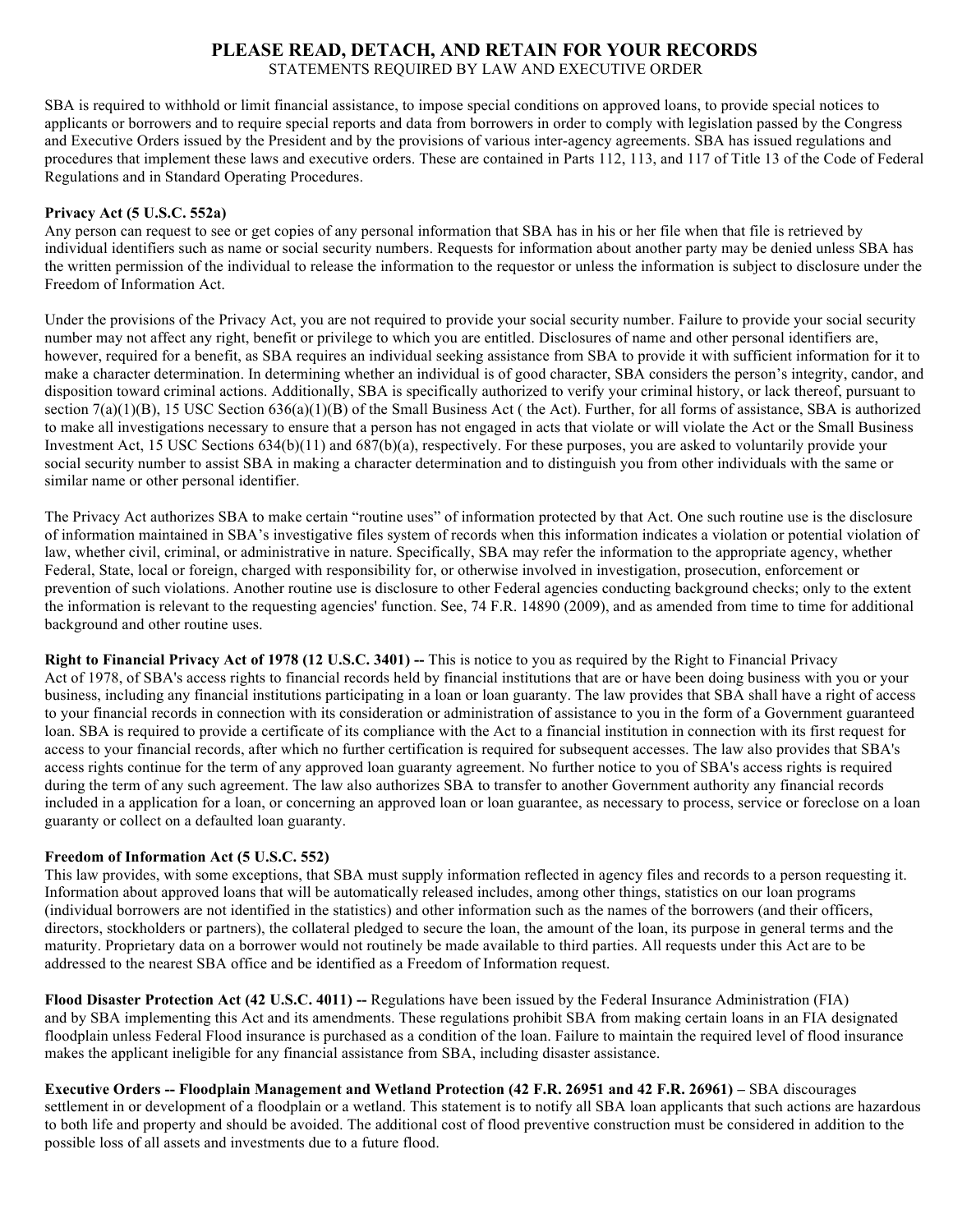## **PLEASE READ, DETACH, AND RETAIN FOR YOUR RECORDS** STATEMENTS REQUIRED BY LAW AND EXECUTIVE ORDER

SBA is required to withhold or limit financial assistance, to impose special conditions on approved loans, to provide special notices to applicants or borrowers and to require special reports and data from borrowers in order to comply with legislation passed by the Congress and Executive Orders issued by the President and by the provisions of various inter-agency agreements. SBA has issued regulations and procedures that implement these laws and executive orders. These are contained in Parts 112, 113, and 117 of Title 13 of the Code of Federal Regulations and in Standard Operating Procedures.

## **Privacy Act (5 U.S.C. 552a)**

Any person can request to see or get copies of any personal information that SBA has in his or her file when that file is retrieved by individual identifiers such as name or social security numbers. Requests for information about another party may be denied unless SBA has the written permission of the individual to release the information to the requestor or unless the information is subject to disclosure under the Freedom of Information Act.

Under the provisions of the Privacy Act, you are not required to provide your social security number. Failure to provide your social security number may not affect any right, benefit or privilege to which you are entitled. Disclosures of name and other personal identifiers are, however, required for a benefit, as SBA requires an individual seeking assistance from SBA to provide it with sufficient information for it to make a character determination. In determining whether an individual is of good character, SBA considers the person's integrity, candor, and disposition toward criminal actions. Additionally, SBA is specifically authorized to verify your criminal history, or lack thereof, pursuant to section  $7(a)(1)(B)$ , 15 USC Section 636(a)(1)(B) of the Small Business Act (the Act). Further, for all forms of assistance, SBA is authorized to make all investigations necessary to ensure that a person has not engaged in acts that violate or will violate the Act or the Small Business Investment Act, 15 USC Sections 634(b)(11) and 687(b)(a), respectively. For these purposes, you are asked to voluntarily provide your social security number to assist SBA in making a character determination and to distinguish you from other individuals with the same or similar name or other personal identifier.

The Privacy Act authorizes SBA to make certain "routine uses" of information protected by that Act. One such routine use is the disclosure of information maintained in SBA's investigative files system of records when this information indicates a violation or potential violation of law, whether civil, criminal, or administrative in nature. Specifically, SBA may refer the information to the appropriate agency, whether Federal, State, local or foreign, charged with responsibility for, or otherwise involved in investigation, prosecution, enforcement or prevention of such violations. Another routine use is disclosure to other Federal agencies conducting background checks; only to the extent the information is relevant to the requesting agencies' function. See, 74 F.R. 14890 (2009), and as amended from time to time for additional background and other routine uses.

**Right to Financial Privacy Act of 1978 (12 U.S.C. 3401) --** This is notice to you as required by the Right to Financial Privacy Act of 1978, of SBA's access rights to financial records held by financial institutions that are or have been doing business with you or your business, including any financial institutions participating in a loan or loan guaranty. The law provides that SBA shall have a right of access to your financial records in connection with its consideration or administration of assistance to you in the form of a Government guaranteed loan. SBA is required to provide a certificate of its compliance with the Act to a financial institution in connection with its first request for access to your financial records, after which no further certification is required for subsequent accesses. The law also provides that SBA's access rights continue for the term of any approved loan guaranty agreement. No further notice to you of SBA's access rights is required during the term of any such agreement. The law also authorizes SBA to transfer to another Government authority any financial records included in a application for a loan, or concerning an approved loan or loan guarantee, as necessary to process, service or foreclose on a loan guaranty or collect on a defaulted loan guaranty.

#### **Freedom of Information Act (5 U.S.C. 552)**

This law provides, with some exceptions, that SBA must supply information reflected in agency files and records to a person requesting it. Information about approved loans that will be automatically released includes, among other things, statistics on our loan programs (individual borrowers are not identified in the statistics) and other information such as the names of the borrowers (and their officers, directors, stockholders or partners), the collateral pledged to secure the loan, the amount of the loan, its purpose in general terms and the maturity. Proprietary data on a borrower would not routinely be made available to third parties. All requests under this Act are to be addressed to the nearest SBA office and be identified as a Freedom of Information request.

**Flood Disaster Protection Act (42 U.S.C. 4011) --** Regulations have been issued by the Federal Insurance Administration (FIA) and by SBA implementing this Act and its amendments. These regulations prohibit SBA from making certain loans in an FIA designated floodplain unless Federal Flood insurance is purchased as a condition of the loan. Failure to maintain the required level of flood insurance makes the applicant ineligible for any financial assistance from SBA, including disaster assistance.

**Executive Orders -- Floodplain Management and Wetland Protection (42 F.R. 26951 and 42 F.R. 26961) –** SBA discourages settlement in or development of a floodplain or a wetland. This statement is to notify all SBA loan applicants that such actions are hazardous to both life and property and should be avoided. The additional cost of flood preventive construction must be considered in addition to the possible loss of all assets and investments due to a future flood.